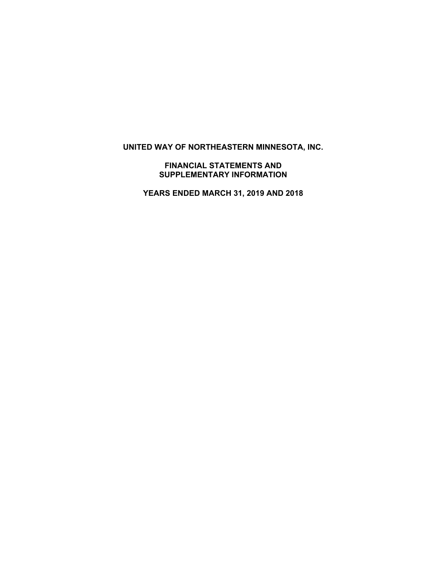**UNITED WAY OF NORTHEASTERN MINNESOTA, INC.** 

**FINANCIAL STATEMENTS AND SUPPLEMENTARY INFORMATION** 

**YEARS ENDED MARCH 31, 2019 AND 2018**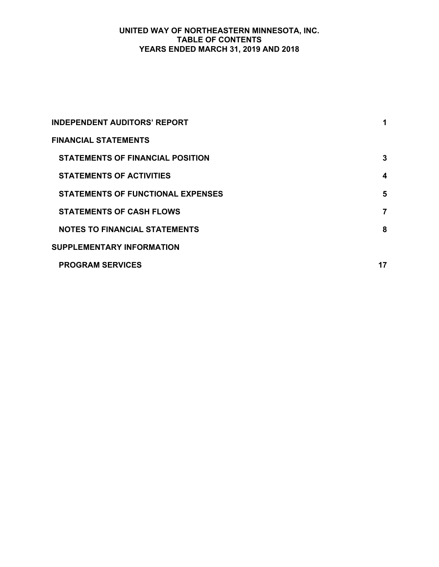# **UNITED WAY OF NORTHEASTERN MINNESOTA, INC. TABLE OF CONTENTS YEARS ENDED MARCH 31, 2019 AND 2018**

| <b>INDEPENDENT AUDITORS' REPORT</b>      | 1  |
|------------------------------------------|----|
| <b>FINANCIAL STATEMENTS</b>              |    |
| <b>STATEMENTS OF FINANCIAL POSITION</b>  | 3  |
| <b>STATEMENTS OF ACTIVITIES</b>          | 4  |
| <b>STATEMENTS OF FUNCTIONAL EXPENSES</b> | 5  |
| <b>STATEMENTS OF CASH FLOWS</b>          | 7  |
| <b>NOTES TO FINANCIAL STATEMENTS</b>     | 8  |
| <b>SUPPLEMENTARY INFORMATION</b>         |    |
| <b>PROGRAM SERVICES</b>                  | 17 |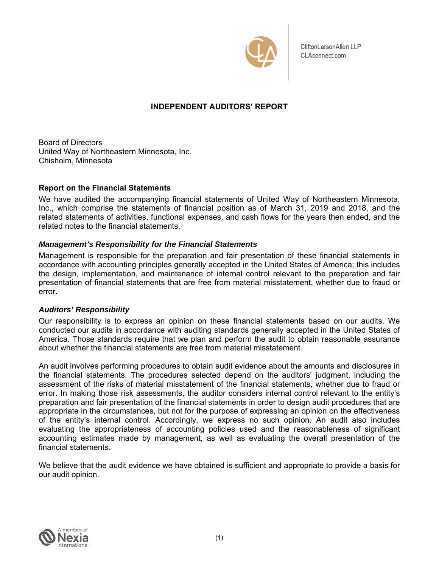

CliftonLarsonAllen LLP CLAconnect.com

# **INDEPENDENT AUDITORS' REPORT**

Board of Directors United Way of Northeastern Minnesota, Inc. Chisholm, Minnesota

### **Report on the Financial Statements**

We have audited the accompanying financial statements of United Way of Northeastern Minnesota, Inc., which comprise the statements of financial position as of March 31, 2019 and 2018, and the related statements of activities, functional expenses, and cash flows for the years then ended, and the related notes to the financial statements.

## *Management's Responsibility for the Financial Statements*

Management is responsible for the preparation and fair presentation of these financial statements in accordance with accounting principles generally accepted in the United States of America; this includes the design, implementation, and maintenance of internal control relevant to the preparation and fair presentation of financial statements that are free from material misstatement, whether due to fraud or error.

#### *Auditors' Responsibility*

Our responsibility is to express an opinion on these financial statements based on our audits. We conducted our audits in accordance with auditing standards generally accepted in the United States of America. Those standards require that we plan and perform the audit to obtain reasonable assurance about whether the financial statements are free from material misstatement.

An audit involves performing procedures to obtain audit evidence about the amounts and disclosures in the financial statements. The procedures selected depend on the auditors' judgment, including the assessment of the risks of material misstatement of the financial statements, whether due to fraud or error. In making those risk assessments, the auditor considers internal control relevant to the entity's preparation and fair presentation of the financial statements in order to design audit procedures that are appropriate in the circumstances, but not for the purpose of expressing an opinion on the effectiveness of the entity's internal control. Accordingly, we express no such opinion. An audit also includes evaluating the appropriateness of accounting policies used and the reasonableness of significant accounting estimates made by management, as well as evaluating the overall presentation of the financial statements.

We believe that the audit evidence we have obtained is sufficient and appropriate to provide a basis for our audit opinion.

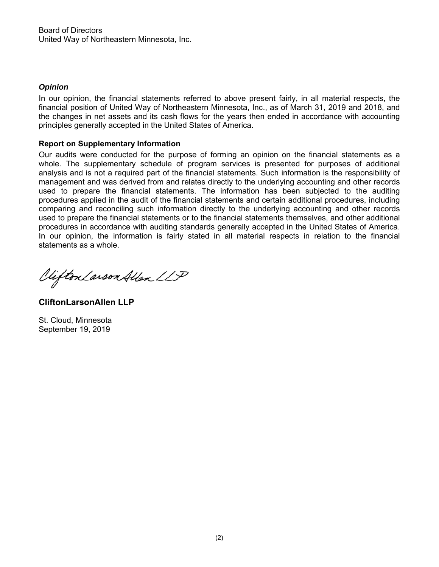## *Opinion*

In our opinion, the financial statements referred to above present fairly, in all material respects, the financial position of United Way of Northeastern Minnesota, Inc., as of March 31, 2019 and 2018, and the changes in net assets and its cash flows for the years then ended in accordance with accounting principles generally accepted in the United States of America.

### **Report on Supplementary Information**

Our audits were conducted for the purpose of forming an opinion on the financial statements as a whole. The supplementary schedule of program services is presented for purposes of additional analysis and is not a required part of the financial statements. Such information is the responsibility of management and was derived from and relates directly to the underlying accounting and other records used to prepare the financial statements. The information has been subjected to the auditing procedures applied in the audit of the financial statements and certain additional procedures, including comparing and reconciling such information directly to the underlying accounting and other records used to prepare the financial statements or to the financial statements themselves, and other additional procedures in accordance with auditing standards generally accepted in the United States of America. In our opinion, the information is fairly stated in all material respects in relation to the financial statements as a whole.

Viifton Larson Allen LLP

**CliftonLarsonAllen LLP** 

St. Cloud, Minnesota September 19, 2019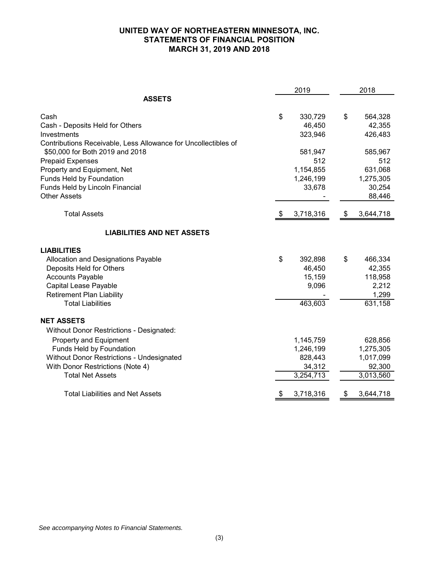## **UNITED WAY OF NORTHEASTERN MINNESOTA, INC. STATEMENTS OF FINANCIAL POSITION MARCH 31, 2019 AND 2018**

|                                                                | 2019 |           | 2018 |           |
|----------------------------------------------------------------|------|-----------|------|-----------|
| <b>ASSETS</b>                                                  |      |           |      |           |
| Cash                                                           | \$   | 330,729   | \$   | 564,328   |
| Cash - Deposits Held for Others                                |      | 46,450    |      | 42,355    |
| Investments                                                    |      | 323,946   |      | 426,483   |
| Contributions Receivable, Less Allowance for Uncollectibles of |      |           |      |           |
| \$50,000 for Both 2019 and 2018                                |      | 581,947   |      | 585,967   |
| <b>Prepaid Expenses</b>                                        |      | 512       |      | 512       |
| Property and Equipment, Net                                    |      | 1,154,855 |      | 631,068   |
| Funds Held by Foundation                                       |      | 1,246,199 |      | 1,275,305 |
| Funds Held by Lincoln Financial                                |      | 33,678    |      | 30,254    |
| <b>Other Assets</b>                                            |      |           |      | 88,446    |
| <b>Total Assets</b>                                            | æ.   | 3,718,316 | \$   | 3,644,718 |
| <b>LIABILITIES AND NET ASSETS</b>                              |      |           |      |           |
| <b>LIABILITIES</b>                                             |      |           |      |           |
| Allocation and Designations Payable                            | \$   | 392,898   | \$   | 466,334   |
| Deposits Held for Others                                       |      | 46,450    |      | 42,355    |
| <b>Accounts Payable</b>                                        |      | 15,159    |      | 118,958   |
| Capital Lease Payable                                          |      | 9,096     |      | 2,212     |
| <b>Retirement Plan Liability</b>                               |      |           |      | 1,299     |
| <b>Total Liabilities</b>                                       |      | 463,603   |      | 631,158   |
| <b>NET ASSETS</b>                                              |      |           |      |           |
| Without Donor Restrictions - Designated:                       |      |           |      |           |
| Property and Equipment                                         |      | 1,145,759 |      | 628,856   |
| Funds Held by Foundation                                       |      | 1,246,199 |      | 1,275,305 |
| <b>Without Donor Restrictions - Undesignated</b>               |      | 828,443   |      | 1,017,099 |
| With Donor Restrictions (Note 4)                               |      | 34,312    |      | 92,300    |
| <b>Total Net Assets</b>                                        |      | 3,254,713 |      | 3,013,560 |
| <b>Total Liabilities and Net Assets</b>                        | \$   | 3,718,316 | \$   | 3,644,718 |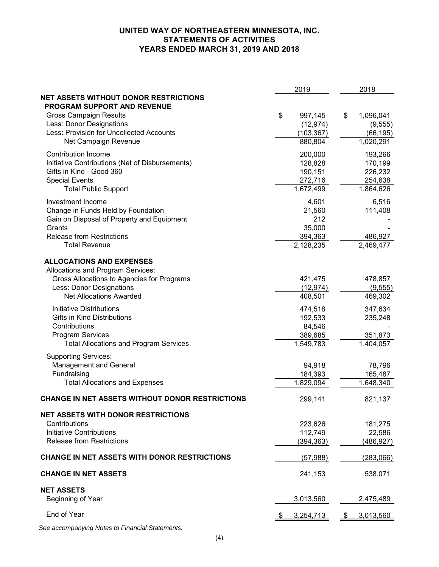# **UNITED WAY OF NORTHEASTERN MINNESOTA, INC. STATEMENTS OF ACTIVITIES YEARS ENDED MARCH 31, 2019 AND 2018**

|                                                 | 2019            |               | 2018                |
|-------------------------------------------------|-----------------|---------------|---------------------|
| <b>NET ASSETS WITHOUT DONOR RESTRICTIONS</b>    |                 |               |                     |
| PROGRAM SUPPORT AND REVENUE                     |                 |               |                     |
| <b>Gross Campaign Results</b>                   | \$<br>997,145   | \$            | 1,096,041           |
| Less: Donor Designations                        | (12, 974)       |               | (9, 555)            |
| Less: Provision for Uncollected Accounts        | (103, 367)      |               | (66, 195)           |
| Net Campaign Revenue                            | 880,804         |               | 1,020,291           |
| Contribution Income                             | 200,000         |               | 193,266             |
| Initiative Contributions (Net of Disbursements) | 128,828         |               | 170,199             |
| Gifts in Kind - Good 360                        | 190,151         |               | 226,232             |
| <b>Special Events</b>                           | 272,716         |               | 254,638             |
| <b>Total Public Support</b>                     | 1,672,499       |               | 1,864,626           |
|                                                 |                 |               |                     |
| Investment Income                               | 4,601           |               | 6,516               |
| Change in Funds Held by Foundation              | 21,560          |               | 111,408             |
| Gain on Disposal of Property and Equipment      | 212             |               |                     |
| Grants                                          | 35,000          |               |                     |
| <b>Release from Restrictions</b>                | 394,363         |               | 486,927             |
| <b>Total Revenue</b>                            | 2,128,235       |               | 2,469,477           |
| <b>ALLOCATIONS AND EXPENSES</b>                 |                 |               |                     |
| Allocations and Program Services:               |                 |               |                     |
| Gross Allocations to Agencies for Programs      | 421,475         |               | 478,857             |
| Less: Donor Designations                        | (12, 974)       |               |                     |
| <b>Net Allocations Awarded</b>                  | 408,501         |               | (9, 555)<br>469,302 |
|                                                 |                 |               |                     |
| <b>Initiative Distributions</b>                 | 474,518         |               | 347,634             |
| Gifts in Kind Distributions                     | 192,533         |               | 235,248             |
| Contributions                                   | 84,546          |               |                     |
| <b>Program Services</b>                         | 389,685         |               | 351,873             |
| <b>Total Allocations and Program Services</b>   | 1,549,783       |               | 1,404,057           |
| <b>Supporting Services:</b>                     |                 |               |                     |
| Management and General                          | 94,918          |               | 78,796              |
| Fundraising                                     | 184,393         |               | 165,487             |
| <b>Total Allocations and Expenses</b>           | 1,829,094       |               | 1,648,340           |
|                                                 |                 |               |                     |
| CHANGE IN NET ASSETS WITHOUT DONOR RESTRICTIONS | 299,141         |               | 821,137             |
|                                                 |                 |               |                     |
| <b>NET ASSETS WITH DONOR RESTRICTIONS</b>       |                 |               |                     |
| Contributions                                   | 223,626         |               | 181,275             |
| <b>Initiative Contributions</b>                 | 112,749         |               | 22,586              |
| <b>Release from Restrictions</b>                | (394, 363)      |               | (486, 927)          |
| CHANGE IN NET ASSETS WITH DONOR RESTRICTIONS    | (57, 988)       |               | (283,066)           |
|                                                 |                 |               |                     |
| <b>CHANGE IN NET ASSETS</b>                     | 241,153         |               | 538,071             |
| <b>NET ASSETS</b>                               |                 |               |                     |
| Beginning of Year                               | 3,013,560       |               | 2,475,489           |
| End of Year                                     | \$<br>3,254,713 | $\mathcal{S}$ | 3,013,560           |
|                                                 |                 |               |                     |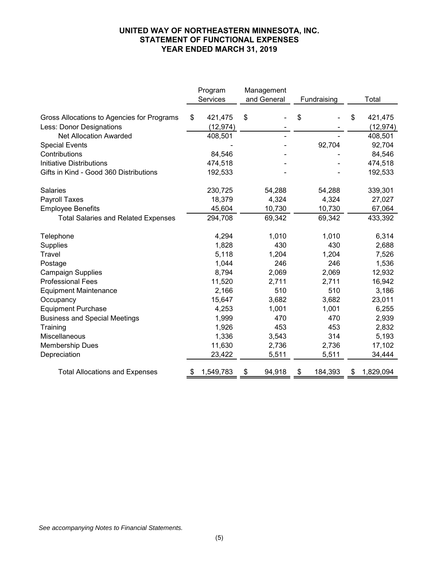## **UNITED WAY OF NORTHEASTERN MINNESOTA, INC. STATEMENT OF FUNCTIONAL EXPENSES YEAR ENDED MARCH 31, 2019**

|                                                                        | Program                    | Management |             |             |         |    |                      |
|------------------------------------------------------------------------|----------------------------|------------|-------------|-------------|---------|----|----------------------|
|                                                                        | Services                   |            | and General | Fundraising |         |    | Total                |
| Gross Allocations to Agencies for Programs<br>Less: Donor Designations | \$<br>421,475<br>(12, 974) | \$         |             | \$          |         | S  | 421,475<br>(12, 974) |
| <b>Net Allocation Awarded</b>                                          | 408,501                    |            |             |             |         |    | 408,501              |
| <b>Special Events</b>                                                  |                            |            |             |             | 92,704  |    | 92,704               |
| Contributions                                                          | 84,546                     |            |             |             |         |    | 84,546               |
| <b>Initiative Distributions</b>                                        | 474,518                    |            |             |             |         |    | 474,518              |
| Gifts in Kind - Good 360 Distributions                                 | 192,533                    |            |             |             |         |    | 192,533              |
| <b>Salaries</b>                                                        | 230,725                    |            | 54,288      |             | 54,288  |    | 339,301              |
| Payroll Taxes                                                          | 18,379                     |            | 4,324       |             | 4,324   |    | 27,027               |
| <b>Employee Benefits</b>                                               | 45,604                     |            | 10,730      |             | 10,730  |    | 67,064               |
| <b>Total Salaries and Related Expenses</b>                             | 294,708                    |            | 69,342      |             | 69,342  |    | 433,392              |
| Telephone                                                              | 4,294                      |            | 1,010       |             | 1,010   |    | 6,314                |
| Supplies                                                               | 1,828                      |            | 430         |             | 430     |    | 2,688                |
| Travel                                                                 | 5,118                      |            | 1,204       |             | 1,204   |    | 7,526                |
| Postage                                                                | 1,044                      |            | 246         |             | 246     |    | 1,536                |
| <b>Campaign Supplies</b>                                               | 8,794                      |            | 2,069       |             | 2,069   |    | 12,932               |
| <b>Professional Fees</b>                                               | 11,520                     |            | 2,711       |             | 2,711   |    | 16,942               |
| <b>Equipment Maintenance</b>                                           | 2,166                      |            | 510         |             | 510     |    | 3,186                |
| Occupancy                                                              | 15,647                     |            | 3,682       |             | 3,682   |    | 23,011               |
| <b>Equipment Purchase</b>                                              | 4,253                      |            | 1,001       |             | 1,001   |    | 6,255                |
| <b>Business and Special Meetings</b>                                   | 1,999                      |            | 470         |             | 470     |    | 2,939                |
| Training                                                               | 1,926                      |            | 453         |             | 453     |    | 2,832                |
| Miscellaneous                                                          | 1,336                      |            | 3,543       |             | 314     |    | 5,193                |
| <b>Membership Dues</b>                                                 | 11,630                     |            | 2,736       |             | 2,736   |    | 17,102               |
| Depreciation                                                           | 23,422                     |            | 5,511       |             | 5,511   |    | 34,444               |
| <b>Total Allocations and Expenses</b>                                  | 1,549,783                  | \$         | 94,918      | \$          | 184,393 | \$ | 1,829,094            |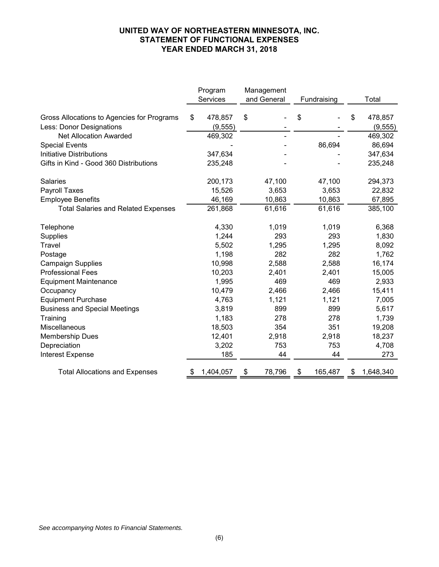## **UNITED WAY OF NORTHEASTERN MINNESOTA, INC. STATEMENT OF FUNCTIONAL EXPENSES YEAR ENDED MARCH 31, 2018**

|                                                                        | Program |                     | Management |             |             |         |   |                     |  |  |
|------------------------------------------------------------------------|---------|---------------------|------------|-------------|-------------|---------|---|---------------------|--|--|
|                                                                        |         | Services            |            | and General | Fundraising |         |   | Total               |  |  |
| Gross Allocations to Agencies for Programs<br>Less: Donor Designations | \$      | 478,857<br>(9, 555) | S          |             | \$          |         | S | 478,857<br>(9, 555) |  |  |
| <b>Net Allocation Awarded</b>                                          |         | 469,302             |            |             |             |         |   | 469,302             |  |  |
| <b>Special Events</b>                                                  |         |                     |            |             |             | 86,694  |   | 86,694              |  |  |
| <b>Initiative Distributions</b>                                        |         | 347,634             |            |             |             |         |   | 347,634             |  |  |
| Gifts in Kind - Good 360 Distributions                                 |         | 235,248             |            |             |             |         |   | 235,248             |  |  |
| <b>Salaries</b>                                                        |         | 200,173             |            | 47,100      |             | 47,100  |   | 294,373             |  |  |
| <b>Payroll Taxes</b>                                                   |         | 15,526              |            | 3,653       |             | 3,653   |   | 22,832              |  |  |
| <b>Employee Benefits</b>                                               |         | 46,169              |            | 10,863      |             | 10,863  |   | 67,895              |  |  |
| <b>Total Salaries and Related Expenses</b>                             |         | 261,868             |            | 61,616      |             | 61,616  |   | 385,100             |  |  |
| Telephone                                                              |         | 4,330               |            | 1,019       |             | 1,019   |   | 6,368               |  |  |
| Supplies                                                               |         | 1,244               |            | 293         |             | 293     |   | 1,830               |  |  |
| Travel                                                                 |         | 5,502               |            | 1,295       |             | 1,295   |   | 8,092               |  |  |
| Postage                                                                |         | 1,198               |            | 282         |             | 282     |   | 1,762               |  |  |
| <b>Campaign Supplies</b>                                               |         | 10,998              |            | 2,588       |             | 2,588   |   | 16,174              |  |  |
| <b>Professional Fees</b>                                               |         | 10,203              |            | 2,401       |             | 2,401   |   | 15,005              |  |  |
| <b>Equipment Maintenance</b>                                           |         | 1,995               |            | 469         |             | 469     |   | 2,933               |  |  |
| Occupancy                                                              |         | 10,479              |            | 2,466       |             | 2,466   |   | 15,411              |  |  |
| <b>Equipment Purchase</b>                                              |         | 4,763               |            | 1,121       |             | 1,121   |   | 7,005               |  |  |
| <b>Business and Special Meetings</b>                                   |         | 3,819               |            | 899         |             | 899     |   | 5,617               |  |  |
| Training                                                               |         | 1,183               |            | 278         |             | 278     |   | 1,739               |  |  |
| Miscellaneous                                                          |         | 18,503              |            | 354         |             | 351     |   | 19,208              |  |  |
| <b>Membership Dues</b>                                                 |         | 12,401              |            | 2,918       |             | 2,918   |   | 18,237              |  |  |
| Depreciation                                                           |         | 3,202               |            | 753         |             | 753     |   | 4,708               |  |  |
| <b>Interest Expense</b>                                                |         | 185                 |            | 44          |             | 44      |   | 273                 |  |  |
| <b>Total Allocations and Expenses</b>                                  |         | 1,404,057           | \$         | 78,796      | \$          | 165,487 | S | 1,648,340           |  |  |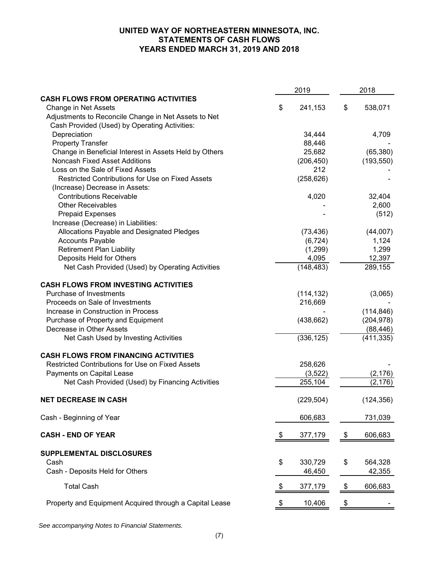## **UNITED WAY OF NORTHEASTERN MINNESOTA, INC. STATEMENTS OF CASH FLOWS YEARS ENDED MARCH 31, 2019 AND 2018**

|                                                         | 2019 |            | 2018 |            |
|---------------------------------------------------------|------|------------|------|------------|
| <b>CASH FLOWS FROM OPERATING ACTIVITIES</b>             |      |            |      |            |
| Change in Net Assets                                    | \$   | 241,153    | \$   | 538,071    |
| Adjustments to Reconcile Change in Net Assets to Net    |      |            |      |            |
| Cash Provided (Used) by Operating Activities:           |      |            |      |            |
| Depreciation                                            |      | 34,444     |      | 4,709      |
| <b>Property Transfer</b>                                |      | 88,446     |      |            |
| Change in Beneficial Interest in Assets Held by Others  |      | 25,682     |      | (65, 380)  |
| <b>Noncash Fixed Asset Additions</b>                    |      | (206, 450) |      | (193, 550) |
| Loss on the Sale of Fixed Assets                        |      | 212        |      |            |
| Restricted Contributions for Use on Fixed Assets        |      | (258, 626) |      |            |
| (Increase) Decrease in Assets:                          |      |            |      |            |
| <b>Contributions Receivable</b>                         |      | 4,020      |      | 32,404     |
| <b>Other Receivables</b>                                |      |            |      | 2,600      |
| <b>Prepaid Expenses</b>                                 |      |            |      | (512)      |
| Increase (Decrease) in Liabilities:                     |      |            |      |            |
| Allocations Payable and Designated Pledges              |      | (73, 436)  |      | (44,007)   |
| <b>Accounts Payable</b>                                 |      | (6, 724)   |      | 1,124      |
| <b>Retirement Plan Liability</b>                        |      | (1,299)    |      | 1,299      |
| Deposits Held for Others                                |      | 4,095      |      | 12,397     |
| Net Cash Provided (Used) by Operating Activities        |      | (148, 483) |      | 289,155    |
| <b>CASH FLOWS FROM INVESTING ACTIVITIES</b>             |      |            |      |            |
| Purchase of Investments                                 |      | (114, 132) |      | (3,065)    |
| Proceeds on Sale of Investments                         |      | 216,669    |      |            |
| Increase in Construction in Process                     |      |            |      | (114, 846) |
| Purchase of Property and Equipment                      |      | (438, 662) |      | (204, 978) |
| Decrease in Other Assets                                |      |            |      | (88, 446)  |
| Net Cash Used by Investing Activities                   |      | (336, 125) |      | (411, 335) |
| <b>CASH FLOWS FROM FINANCING ACTIVITIES</b>             |      |            |      |            |
| Restricted Contributions for Use on Fixed Assets        |      | 258,626    |      |            |
| Payments on Capital Lease                               |      | (3,522)    |      | (2, 176)   |
| Net Cash Provided (Used) by Financing Activities        |      | 255,104    |      | (2, 176)   |
| <b>NET DECREASE IN CASH</b>                             |      | (229, 504) |      | (124, 356) |
| Cash - Beginning of Year                                |      | 606,683    |      | 731,039    |
| <b>CASH - END OF YEAR</b>                               | -\$  | 377,179    | \$   | 606,683    |
| SUPPLEMENTAL DISCLOSURES                                |      |            |      |            |
| Cash                                                    | \$   | 330,729    | \$   | 564,328    |
| Cash - Deposits Held for Others                         |      | 46,450     |      | 42,355     |
| <b>Total Cash</b>                                       | \$   | 377,179    | \$   | 606,683    |
| Property and Equipment Acquired through a Capital Lease | \$   | 10,406     | \$   |            |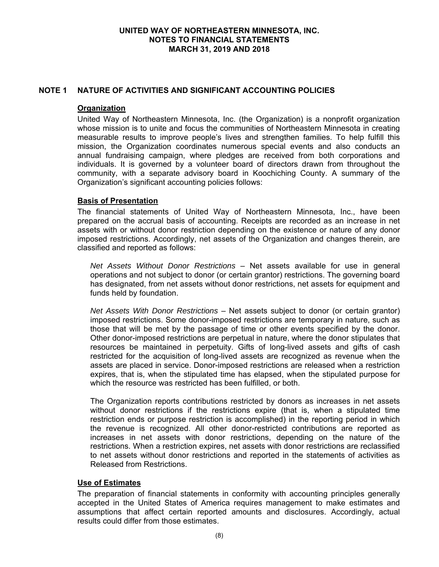## **NOTE 1 NATURE OF ACTIVITIES AND SIGNIFICANT ACCOUNTING POLICIES**

### **Organization**

United Way of Northeastern Minnesota, Inc. (the Organization) is a nonprofit organization whose mission is to unite and focus the communities of Northeastern Minnesota in creating measurable results to improve people's lives and strengthen families. To help fulfill this mission, the Organization coordinates numerous special events and also conducts an annual fundraising campaign, where pledges are received from both corporations and individuals. It is governed by a volunteer board of directors drawn from throughout the community, with a separate advisory board in Koochiching County. A summary of the Organization's significant accounting policies follows:

### **Basis of Presentation**

The financial statements of United Way of Northeastern Minnesota, Inc., have been prepared on the accrual basis of accounting. Receipts are recorded as an increase in net assets with or without donor restriction depending on the existence or nature of any donor imposed restrictions. Accordingly, net assets of the Organization and changes therein, are classified and reported as follows:

*Net Assets Without Donor Restrictions* – Net assets available for use in general operations and not subject to donor (or certain grantor) restrictions. The governing board has designated, from net assets without donor restrictions, net assets for equipment and funds held by foundation.

*Net Assets With Donor Restrictions* – Net assets subject to donor (or certain grantor) imposed restrictions. Some donor-imposed restrictions are temporary in nature, such as those that will be met by the passage of time or other events specified by the donor. Other donor-imposed restrictions are perpetual in nature, where the donor stipulates that resources be maintained in perpetuity. Gifts of long-lived assets and gifts of cash restricted for the acquisition of long-lived assets are recognized as revenue when the assets are placed in service. Donor-imposed restrictions are released when a restriction expires, that is, when the stipulated time has elapsed, when the stipulated purpose for which the resource was restricted has been fulfilled, or both.

The Organization reports contributions restricted by donors as increases in net assets without donor restrictions if the restrictions expire (that is, when a stipulated time restriction ends or purpose restriction is accomplished) in the reporting period in which the revenue is recognized. All other donor-restricted contributions are reported as increases in net assets with donor restrictions, depending on the nature of the restrictions. When a restriction expires, net assets with donor restrictions are reclassified to net assets without donor restrictions and reported in the statements of activities as Released from Restrictions.

## **Use of Estimates**

The preparation of financial statements in conformity with accounting principles generally accepted in the United States of America requires management to make estimates and assumptions that affect certain reported amounts and disclosures. Accordingly, actual results could differ from those estimates.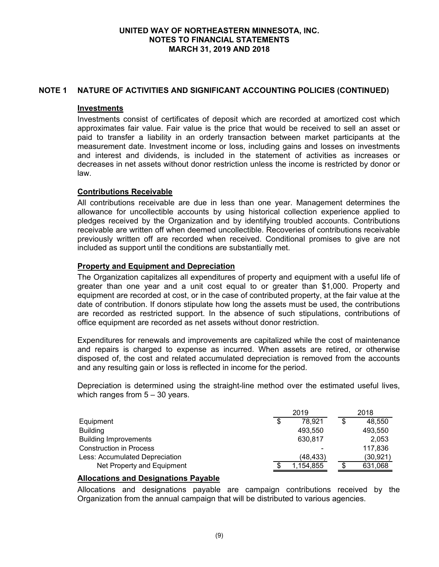## **NOTE 1 NATURE OF ACTIVITIES AND SIGNIFICANT ACCOUNTING POLICIES (CONTINUED)**

### **Investments**

Investments consist of certificates of deposit which are recorded at amortized cost which approximates fair value. Fair value is the price that would be received to sell an asset or paid to transfer a liability in an orderly transaction between market participants at the measurement date. Investment income or loss, including gains and losses on investments and interest and dividends, is included in the statement of activities as increases or decreases in net assets without donor restriction unless the income is restricted by donor or law.

## **Contributions Receivable**

All contributions receivable are due in less than one year. Management determines the allowance for uncollectible accounts by using historical collection experience applied to pledges received by the Organization and by identifying troubled accounts. Contributions receivable are written off when deemed uncollectible. Recoveries of contributions receivable previously written off are recorded when received. Conditional promises to give are not included as support until the conditions are substantially met.

### **Property and Equipment and Depreciation**

The Organization capitalizes all expenditures of property and equipment with a useful life of greater than one year and a unit cost equal to or greater than \$1,000. Property and equipment are recorded at cost, or in the case of contributed property, at the fair value at the date of contribution. If donors stipulate how long the assets must be used, the contributions are recorded as restricted support. In the absence of such stipulations, contributions of office equipment are recorded as net assets without donor restriction.

Expenditures for renewals and improvements are capitalized while the cost of maintenance and repairs is charged to expense as incurred. When assets are retired, or otherwise disposed of, the cost and related accumulated depreciation is removed from the accounts and any resulting gain or loss is reflected in income for the period.

Depreciation is determined using the straight-line method over the estimated useful lives, which ranges from 5 – 30 years.

|                                | 2019         |   | 2018      |  |
|--------------------------------|--------------|---|-----------|--|
| Equipment                      | \$<br>78.921 | S | 48.550    |  |
| <b>Building</b>                | 493.550      |   | 493.550   |  |
| <b>Building Improvements</b>   | 630.817      |   | 2.053     |  |
| <b>Construction in Process</b> |              |   | 117.836   |  |
| Less: Accumulated Depreciation | (48,433)     |   | (30, 921) |  |
| Net Property and Equipment     | 1,154,855    |   | 631,068   |  |

# **Allocations and Designations Payable**

Allocations and designations payable are campaign contributions received by the Organization from the annual campaign that will be distributed to various agencies.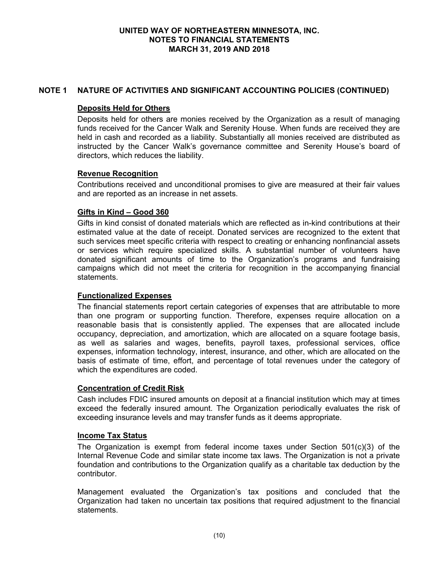## **NOTE 1 NATURE OF ACTIVITIES AND SIGNIFICANT ACCOUNTING POLICIES (CONTINUED)**

## **Deposits Held for Others**

Deposits held for others are monies received by the Organization as a result of managing funds received for the Cancer Walk and Serenity House. When funds are received they are held in cash and recorded as a liability. Substantially all monies received are distributed as instructed by the Cancer Walk's governance committee and Serenity House's board of directors, which reduces the liability.

## **Revenue Recognition**

Contributions received and unconditional promises to give are measured at their fair values and are reported as an increase in net assets.

## **Gifts in Kind – Good 360**

Gifts in kind consist of donated materials which are reflected as in-kind contributions at their estimated value at the date of receipt. Donated services are recognized to the extent that such services meet specific criteria with respect to creating or enhancing nonfinancial assets or services which require specialized skills. A substantial number of volunteers have donated significant amounts of time to the Organization's programs and fundraising campaigns which did not meet the criteria for recognition in the accompanying financial statements.

## **Functionalized Expenses**

The financial statements report certain categories of expenses that are attributable to more than one program or supporting function. Therefore, expenses require allocation on a reasonable basis that is consistently applied. The expenses that are allocated include occupancy, depreciation, and amortization, which are allocated on a square footage basis, as well as salaries and wages, benefits, payroll taxes, professional services, office expenses, information technology, interest, insurance, and other, which are allocated on the basis of estimate of time, effort, and percentage of total revenues under the category of which the expenditures are coded.

## **Concentration of Credit Risk**

Cash includes FDIC insured amounts on deposit at a financial institution which may at times exceed the federally insured amount. The Organization periodically evaluates the risk of exceeding insurance levels and may transfer funds as it deems appropriate.

#### **Income Tax Status**

The Organization is exempt from federal income taxes under Section 501(c)(3) of the Internal Revenue Code and similar state income tax laws. The Organization is not a private foundation and contributions to the Organization qualify as a charitable tax deduction by the contributor.

Management evaluated the Organization's tax positions and concluded that the Organization had taken no uncertain tax positions that required adjustment to the financial statements.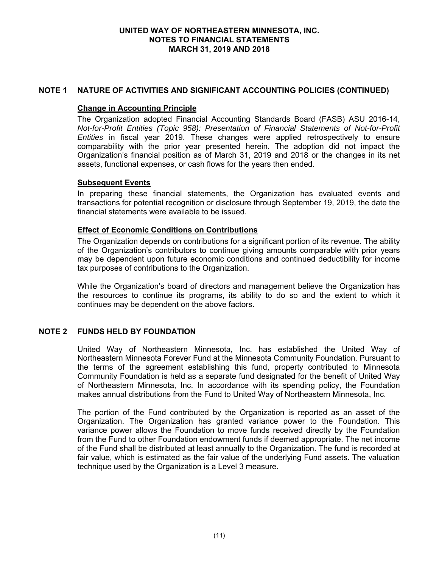## **NOTE 1 NATURE OF ACTIVITIES AND SIGNIFICANT ACCOUNTING POLICIES (CONTINUED)**

# **Change in Accounting Principle**

The Organization adopted Financial Accounting Standards Board (FASB) ASU 2016-14, *Not-for-Profit Entities (Topic 958): Presentation of Financial Statements of Not-for-Profit Entities* in fiscal year 2019. These changes were applied retrospectively to ensure comparability with the prior year presented herein. The adoption did not impact the Organization's financial position as of March 31, 2019 and 2018 or the changes in its net assets, functional expenses, or cash flows for the years then ended.

## **Subsequent Events**

In preparing these financial statements, the Organization has evaluated events and transactions for potential recognition or disclosure through September 19, 2019, the date the financial statements were available to be issued.

### **Effect of Economic Conditions on Contributions**

The Organization depends on contributions for a significant portion of its revenue. The ability of the Organization's contributors to continue giving amounts comparable with prior years may be dependent upon future economic conditions and continued deductibility for income tax purposes of contributions to the Organization.

While the Organization's board of directors and management believe the Organization has the resources to continue its programs, its ability to do so and the extent to which it continues may be dependent on the above factors.

## **NOTE 2 FUNDS HELD BY FOUNDATION**

United Way of Northeastern Minnesota, Inc. has established the United Way of Northeastern Minnesota Forever Fund at the Minnesota Community Foundation. Pursuant to the terms of the agreement establishing this fund, property contributed to Minnesota Community Foundation is held as a separate fund designated for the benefit of United Way of Northeastern Minnesota, Inc. In accordance with its spending policy, the Foundation makes annual distributions from the Fund to United Way of Northeastern Minnesota, Inc.

The portion of the Fund contributed by the Organization is reported as an asset of the Organization. The Organization has granted variance power to the Foundation. This variance power allows the Foundation to move funds received directly by the Foundation from the Fund to other Foundation endowment funds if deemed appropriate. The net income of the Fund shall be distributed at least annually to the Organization. The fund is recorded at fair value, which is estimated as the fair value of the underlying Fund assets. The valuation technique used by the Organization is a Level 3 measure.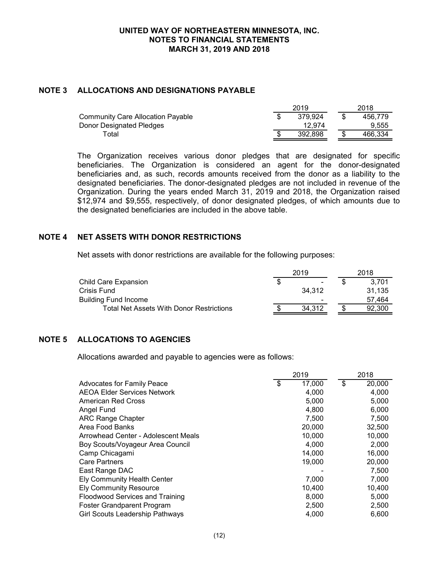### **NOTE 3 ALLOCATIONS AND DESIGNATIONS PAYABLE**

| 2019 |         |  | 2018    |  |
|------|---------|--|---------|--|
|      | 379.924 |  | 456.779 |  |
|      | 12.974  |  | 9.555   |  |
|      | 392.898 |  | 466.334 |  |
|      |         |  |         |  |

The Organization receives various donor pledges that are designated for specific beneficiaries. The Organization is considered an agent for the donor-designated beneficiaries and, as such, records amounts received from the donor as a liability to the designated beneficiaries. The donor-designated pledges are not included in revenue of the Organization. During the years ended March 31, 2019 and 2018, the Organization raised \$12,974 and \$9,555, respectively, of donor designated pledges, of which amounts due to the designated beneficiaries are included in the above table.

### **NOTE 4 NET ASSETS WITH DONOR RESTRICTIONS**

Net assets with donor restrictions are available for the following purposes:

|                                          | 2019   | 2018   |  |
|------------------------------------------|--------|--------|--|
| Child Care Expansion                     | \$     | 3.701  |  |
| Crisis Fund                              | 34.312 | 31.135 |  |
| <b>Building Fund Income</b>              | -      | 57.464 |  |
| Total Net Assets With Donor Restrictions | 34.312 | 92.300 |  |

## **NOTE 5 ALLOCATIONS TO AGENCIES**

Allocations awarded and payable to agencies were as follows:

|                                     | 2019 |        |    | 2018   |  |
|-------------------------------------|------|--------|----|--------|--|
| <b>Advocates for Family Peace</b>   | \$   | 17,000 | \$ | 20,000 |  |
| <b>AEOA Elder Services Network</b>  |      | 4,000  |    | 4,000  |  |
| <b>American Red Cross</b>           |      | 5,000  |    | 5,000  |  |
| Angel Fund                          |      | 4,800  |    | 6,000  |  |
| <b>ARC Range Chapter</b>            |      | 7,500  |    | 7,500  |  |
| Area Food Banks                     |      | 20,000 |    | 32,500 |  |
| Arrowhead Center - Adolescent Meals |      | 10,000 |    | 10,000 |  |
| Boy Scouts/Voyageur Area Council    |      | 4,000  |    | 2,000  |  |
| Camp Chicagami                      |      | 14,000 |    | 16,000 |  |
| Care Partners                       |      | 19,000 |    | 20,000 |  |
| East Range DAC                      |      |        |    | 7,500  |  |
| <b>Ely Community Health Center</b>  |      | 7,000  |    | 7,000  |  |
| <b>Ely Community Resource</b>       |      | 10,400 |    | 10,400 |  |
| Floodwood Services and Training     |      | 8,000  |    | 5,000  |  |
| <b>Foster Grandparent Program</b>   |      | 2,500  |    | 2,500  |  |
| Girl Scouts Leadership Pathways     |      | 4,000  |    | 6,600  |  |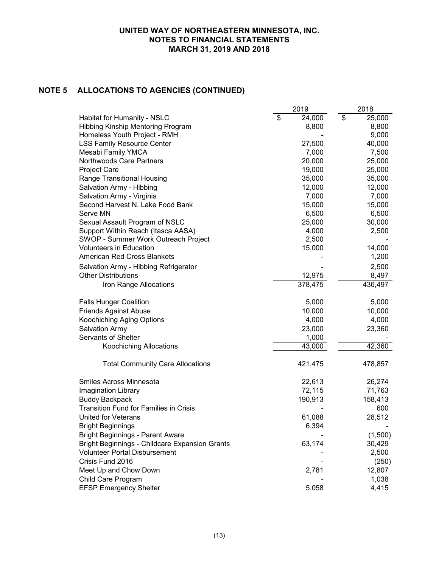# **NOTE 5 ALLOCATIONS TO AGENCIES (CONTINUED)**

|                                                | 2019                               | 2018                               |
|------------------------------------------------|------------------------------------|------------------------------------|
| Habitat for Humanity - NSLC                    | $\overline{\mathcal{S}}$<br>24,000 | $\overline{\mathcal{S}}$<br>25,000 |
| Hibbing Kinship Mentoring Program              | 8,800                              | 8,800                              |
| Homeless Youth Project - RMH                   |                                    | 9,000                              |
| <b>LSS Family Resource Center</b>              | 27,500                             | 40,000                             |
| Mesabi Family YMCA                             | 7,000                              | 7,500                              |
| Northwoods Care Partners                       | 20,000                             | 25,000                             |
| <b>Project Care</b>                            | 19,000                             | 25,000                             |
| Range Transitional Housing                     | 35,000                             | 35,000                             |
| Salvation Army - Hibbing                       | 12,000                             | 12,000                             |
| Salvation Army - Virginia                      | 7,000                              | 7,000                              |
| Second Harvest N. Lake Food Bank               | 15,000                             | 15,000                             |
| Serve MN                                       | 6,500                              | 6,500                              |
| Sexual Assault Program of NSLC                 | 25,000                             | 30,000                             |
| Support Within Reach (Itasca AASA)             | 4,000                              | 2,500                              |
| SWOP - Summer Work Outreach Project            | 2,500                              |                                    |
| <b>Volunteers in Education</b>                 | 15,000                             | 14,000                             |
| <b>American Red Cross Blankets</b>             |                                    | 1,200                              |
| Salvation Army - Hibbing Refrigerator          |                                    | 2,500                              |
| <b>Other Distributions</b>                     | 12,975                             | 8,497                              |
| Iron Range Allocations                         | 378,475                            | 436,497                            |
| <b>Falls Hunger Coalition</b>                  | 5,000                              | 5,000                              |
| <b>Friends Against Abuse</b>                   | 10,000                             | 10,000                             |
| Koochiching Aging Options                      | 4,000                              | 4,000                              |
| Salvation Army                                 | 23,000                             | 23,360                             |
| Servants of Shelter                            | 1,000                              |                                    |
| <b>Koochiching Allocations</b>                 | 43,000                             | 42,360                             |
| <b>Total Community Care Allocations</b>        | 421,475                            | 478,857                            |
| Smiles Across Minnesota                        | 22,613                             | 26,274                             |
| Imagination Library                            | 72,115                             | 71,763                             |
| <b>Buddy Backpack</b>                          | 190,913                            | 158,413                            |
| <b>Transition Fund for Families in Crisis</b>  |                                    | 600                                |
| <b>United for Veterans</b>                     | 61,088                             | 28,512                             |
| <b>Bright Beginnings</b>                       | 6,394                              |                                    |
| <b>Bright Beginnings - Parent Aware</b>        |                                    | (1,500)                            |
| Bright Beginnings - Childcare Expansion Grants | 63,174                             | 30,429                             |
| <b>Volunteer Portal Disbursement</b>           |                                    | 2,500                              |
| Crisis Fund 2016                               |                                    | (250)                              |
| Meet Up and Chow Down                          | 2,781                              | 12,807                             |
| Child Care Program                             |                                    | 1,038                              |
| <b>EFSP Emergency Shelter</b>                  | 5,058                              | 4,415                              |
|                                                |                                    |                                    |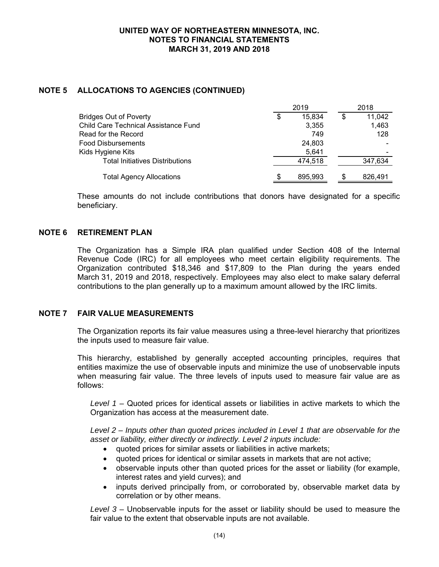# **NOTE 5 ALLOCATIONS TO AGENCIES (CONTINUED)**

|                                        | 2019 |         |    | 2018    |  |  |
|----------------------------------------|------|---------|----|---------|--|--|
| <b>Bridges Out of Poverty</b>          | \$   | 15.834  | \$ | 11,042  |  |  |
| Child Care Technical Assistance Fund   |      | 3,355   |    | 1,463   |  |  |
| Read for the Record                    |      | 749     |    | 128     |  |  |
| <b>Food Disbursements</b>              |      | 24.803  |    |         |  |  |
| Kids Hygiene Kits                      |      | 5,641   |    |         |  |  |
| <b>Total Initiatives Distributions</b> |      | 474.518 |    | 347,634 |  |  |
| <b>Total Agency Allocations</b>        | S    | 895.993 | S  | 826.491 |  |  |

These amounts do not include contributions that donors have designated for a specific beneficiary.

## **NOTE 6 RETIREMENT PLAN**

The Organization has a Simple IRA plan qualified under Section 408 of the Internal Revenue Code (IRC) for all employees who meet certain eligibility requirements. The Organization contributed \$18,346 and \$17,809 to the Plan during the years ended March 31, 2019 and 2018, respectively. Employees may also elect to make salary deferral contributions to the plan generally up to a maximum amount allowed by the IRC limits.

#### **NOTE 7 FAIR VALUE MEASUREMENTS**

The Organization reports its fair value measures using a three-level hierarchy that prioritizes the inputs used to measure fair value.

This hierarchy, established by generally accepted accounting principles, requires that entities maximize the use of observable inputs and minimize the use of unobservable inputs when measuring fair value. The three levels of inputs used to measure fair value are as follows:

*Level 1 –* Quoted prices for identical assets or liabilities in active markets to which the Organization has access at the measurement date.

*Level 2 – Inputs other than quoted prices included in Level 1 that are observable for the asset or liability, either directly or indirectly. Level 2 inputs include:* 

- quoted prices for similar assets or liabilities in active markets;
- quoted prices for identical or similar assets in markets that are not active;
- observable inputs other than quoted prices for the asset or liability (for example, interest rates and yield curves); and
- inputs derived principally from, or corroborated by, observable market data by correlation or by other means.

*Level 3 –* Unobservable inputs for the asset or liability should be used to measure the fair value to the extent that observable inputs are not available.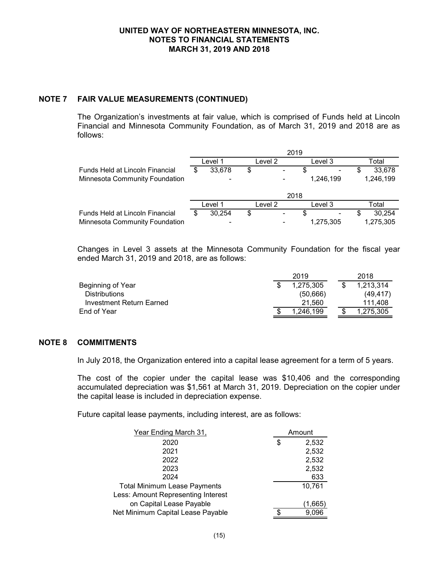### **NOTE 7 FAIR VALUE MEASUREMENTS (CONTINUED)**

The Organization's investments at fair value, which is comprised of Funds held at Lincoln Financial and Minnesota Community Foundation, as of March 31, 2019 and 2018 are as follows:

|                                 | 2019    |        |    |         |           |     |           |  |  |
|---------------------------------|---------|--------|----|---------|-----------|-----|-----------|--|--|
|                                 | Level 1 |        |    | Level 2 | Level 3   |     | Total     |  |  |
| Funds Held at Lincoln Financial | S       | 33.678 | \$ |         | S         | S   | 33.678    |  |  |
| Minnesota Community Foundation  |         |        |    |         | 1.246.199 |     | 1,246,199 |  |  |
|                                 |         |        |    |         |           |     |           |  |  |
|                                 | Level 1 |        |    | Level 2 | Level 3   |     | Total     |  |  |
| Funds Held at Lincoln Financial |         | 30.254 | \$ |         | S.        | SS. | 30,254    |  |  |
| Minnesota Community Foundation  |         | ۰      |    |         | 1,275,305 |     | 1,275,305 |  |  |

Changes in Level 3 assets at the Minnesota Community Foundation for the fiscal year ended March 31, 2019 and 2018, are as follows:

|                          | 2019 |           |  | 2018      |
|--------------------------|------|-----------|--|-----------|
| Beginning of Year        |      | 1.275.305 |  | 1.213.314 |
| Distributions            |      | (50,666)  |  | (49, 417) |
| Investment Return Earned |      | 21.560    |  | 111.408   |
| End of Year              |      | 1.246.199 |  | 1.275.305 |

## **NOTE 8 COMMITMENTS**

In July 2018, the Organization entered into a capital lease agreement for a term of 5 years.

The cost of the copier under the capital lease was \$10,406 and the corresponding accumulated depreciation was \$1,561 at March 31, 2019. Depreciation on the copier under the capital lease is included in depreciation expense.

Future capital lease payments, including interest, are as follows:

| Year Ending March 31,               |    | Amount  |  |  |  |
|-------------------------------------|----|---------|--|--|--|
| 2020                                | \$ | 2,532   |  |  |  |
| 2021                                |    | 2,532   |  |  |  |
| 2022                                |    | 2,532   |  |  |  |
| 2023                                |    | 2,532   |  |  |  |
| 2024                                |    | 633     |  |  |  |
| <b>Total Minimum Lease Payments</b> |    | 10,761  |  |  |  |
| Less: Amount Representing Interest  |    |         |  |  |  |
| on Capital Lease Payable            |    | (1,665) |  |  |  |
| Net Minimum Capital Lease Payable   | S  | 9,096   |  |  |  |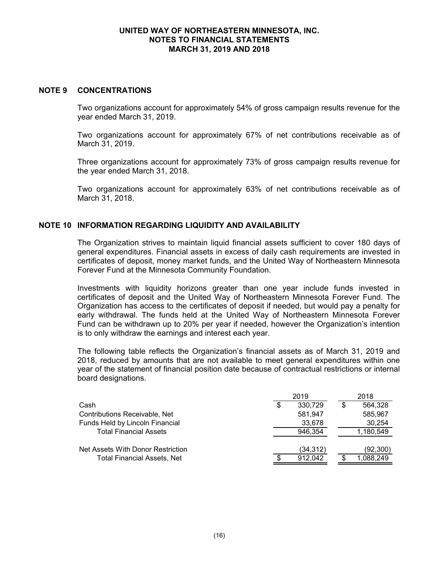#### **NOTE 9 CONCENTRATIONS**

Two organizations account for approximately 54% of gross campaign results revenue for the year ended March 31, 2019.

Two organizations account for approximately 67% of net contributions receivable as of March 31, 2019.

Three organizations account for approximately 73% of gross campaign results revenue for the year ended March 31, 2018.

Two organizations account for approximately 63% of net contributions receivable as of March 31, 2018.

## **NOTE 10 INFORMATION REGARDING LIQUIDITY AND AVAILABILITY**

The Organization strives to maintain liquid financial assets sufficient to cover 180 days of general expenditures. Financial assets in excess of daily cash requirements are invested in certificates of deposit, money market funds, and the United Way of Northeastern Minnesota Forever Fund at the Minnesota Community Foundation.

Investments with liquidity horizons greater than one year include funds invested in certificates of deposit and the United Way of Northeastern Minnesota Forever Fund. The Organization has access to the certificates of deposit if needed, but would pay a penalty for early withdrawal. The funds held at the United Way of Northeastern Minnesota Forever Fund can be withdrawn up to 20% per year if needed, however the Organization's intention is to only withdraw the earnings and interest each year.

The following table reflects the Organization's financial assets as of March 31, 2019 and 2018, reduced by amounts that are not available to meet general expenditures within one year of the statement of financial position date because of contractual restrictions or internal board designations.

|                                      |    | 2019     | 2018 |           |  |
|--------------------------------------|----|----------|------|-----------|--|
| Cash                                 | \$ | 330.729  | \$.  | 564.328   |  |
| <b>Contributions Receivable, Net</b> |    | 581.947  |      | 585,967   |  |
| Funds Held by Lincoln Financial      |    | 33,678   |      | 30,254    |  |
| <b>Total Financial Assets</b>        |    | 946.354  |      | 1,180,549 |  |
| Net Assets With Donor Restriction    |    | (34,312) |      | (92,300)  |  |
| <b>Total Financial Assets, Net</b>   | S  | 912.042  |      | 1,088,249 |  |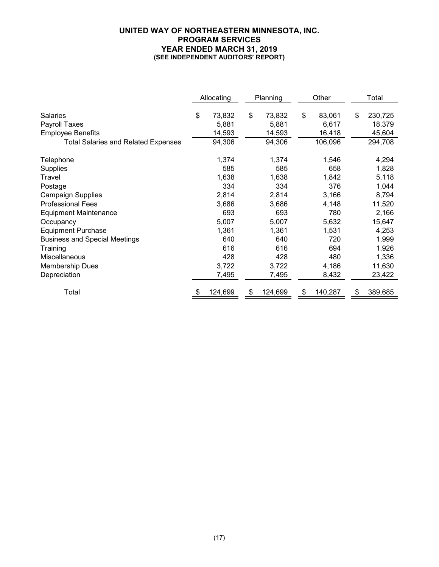### **UNITED WAY OF NORTHEASTERN MINNESOTA, INC. PROGRAM SERVICES YEAR ENDED MARCH 31, 2019 (SEE INDEPENDENT AUDITORS' REPORT)**

|                                                              | Allocating |                           | Planning |                           | Other |                           | Total                             |
|--------------------------------------------------------------|------------|---------------------------|----------|---------------------------|-------|---------------------------|-----------------------------------|
| <b>Salaries</b><br>Payroll Taxes<br><b>Employee Benefits</b> | \$         | 73,832<br>5,881<br>14,593 | \$       | 73,832<br>5,881<br>14,593 | \$    | 83,061<br>6,617<br>16,418 | \$<br>230,725<br>18,379<br>45,604 |
| <b>Total Salaries and Related Expenses</b>                   |            | 94,306                    |          | 94,306                    |       | 106,096                   | 294,708                           |
| Telephone<br><b>Supplies</b>                                 |            | 1,374<br>585              |          | 1,374<br>585              |       | 1,546<br>658              | 4,294<br>1,828                    |
| Travel                                                       |            | 1,638                     |          | 1,638                     |       | 1,842                     | 5,118                             |
| Postage                                                      |            | 334                       |          | 334                       |       | 376                       | 1,044                             |
| <b>Campaign Supplies</b>                                     |            | 2,814                     |          | 2,814                     |       | 3,166                     | 8,794                             |
| <b>Professional Fees</b>                                     |            | 3,686                     |          | 3,686                     |       | 4,148                     | 11,520                            |
| <b>Equipment Maintenance</b>                                 |            | 693                       |          | 693                       |       | 780                       | 2,166                             |
| Occupancy                                                    |            | 5,007                     |          | 5,007                     |       | 5,632                     | 15,647                            |
| <b>Equipment Purchase</b>                                    |            | 1,361                     |          | 1,361                     |       | 1,531                     | 4,253                             |
| <b>Business and Special Meetings</b>                         |            | 640                       |          | 640                       |       | 720                       | 1,999                             |
| Training                                                     |            | 616                       |          | 616                       |       | 694                       | 1,926                             |
| Miscellaneous                                                |            | 428                       |          | 428                       |       | 480                       | 1,336                             |
| <b>Membership Dues</b>                                       |            | 3,722                     |          | 3,722                     |       | 4,186                     | 11,630                            |
| Depreciation                                                 |            | 7,495                     |          | 7,495                     |       | 8,432                     | 23,422                            |
| Total                                                        | \$         | 124,699                   | \$       | 124,699                   | \$    | 140,287                   | \$<br>389,685                     |